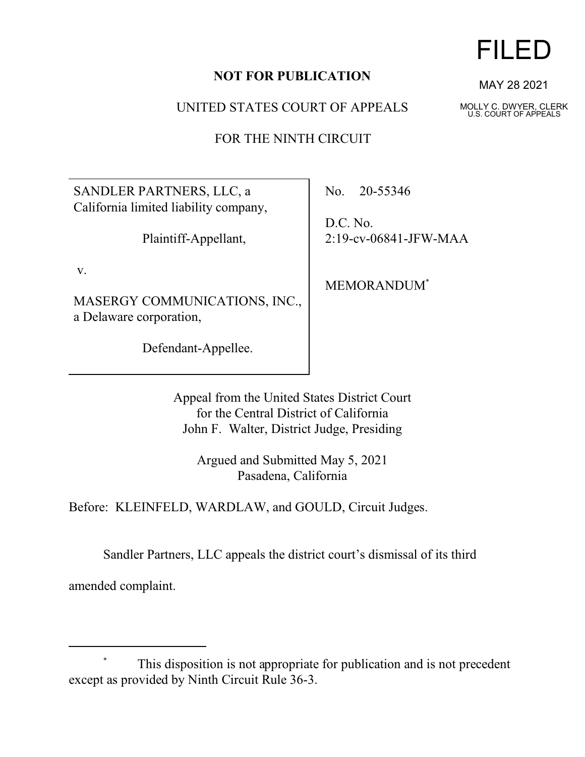## **NOT FOR PUBLICATION**

UNITED STATES COURT OF APPEALS

FOR THE NINTH CIRCUIT

SANDLER PARTNERS, LLC, a California limited liability company,

Plaintiff-Appellant,

v.

MASERGY COMMUNICATIONS, INC., a Delaware corporation,

Defendant-Appellee.

No. 20-55346

D.C. No. 2:19-cv-06841-JFW-MAA

MEMORANDUM\*

Appeal from the United States District Court for the Central District of California John F. Walter, District Judge, Presiding

Argued and Submitted May 5, 2021 Pasadena, California

Before: KLEINFELD, WARDLAW, and GOULD, Circuit Judges.

Sandler Partners, LLC appeals the district court's dismissal of its third

amended complaint.



MAY 28 2021

MOLLY C. DWYER, CLERK U.S. COURT OF APPEALS

This disposition is not appropriate for publication and is not precedent except as provided by Ninth Circuit Rule 36-3.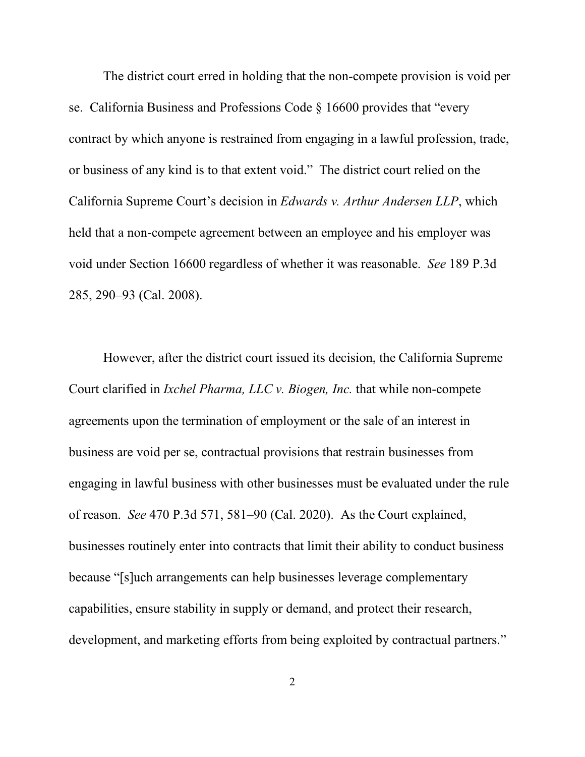The district court erred in holding that the non-compete provision is void per se. California Business and Professions Code § 16600 provides that "every contract by which anyone is restrained from engaging in a lawful profession, trade, or business of any kind is to that extent void." The district court relied on the California Supreme Court's decision in *Edwards v. Arthur Andersen LLP*, which held that a non-compete agreement between an employee and his employer was void under Section 16600 regardless of whether it was reasonable. *See* 189 P.3d 285, 290–93 (Cal. 2008).

However, after the district court issued its decision, the California Supreme Court clarified in *Ixchel Pharma, LLC v. Biogen, Inc.* that while non-compete agreements upon the termination of employment or the sale of an interest in business are void per se, contractual provisions that restrain businesses from engaging in lawful business with other businesses must be evaluated under the rule of reason. *See* 470 P.3d 571, 581–90 (Cal. 2020). As the Court explained, businesses routinely enter into contracts that limit their ability to conduct business because "[s]uch arrangements can help businesses leverage complementary capabilities, ensure stability in supply or demand, and protect their research, development, and marketing efforts from being exploited by contractual partners."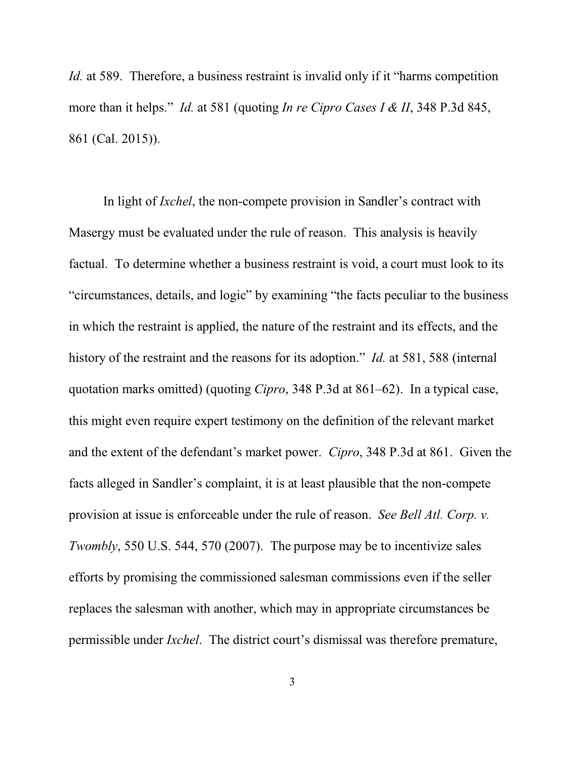*Id.* at 589. Therefore, a business restraint is invalid only if it "harms competition more than it helps." *Id.* at 581 (quoting *In re Cipro Cases I & II*, 348 P.3d 845, 861 (Cal. 2015)).

In light of *Ixchel*, the non-compete provision in Sandler's contract with Masergy must be evaluated under the rule of reason. This analysis is heavily factual. To determine whether a business restraint is void, a court must look to its "circumstances, details, and logic" by examining "the facts peculiar to the business in which the restraint is applied, the nature of the restraint and its effects, and the history of the restraint and the reasons for its adoption." *Id.* at 581, 588 (internal quotation marks omitted) (quoting *Cipro*, 348 P.3d at 861–62). In a typical case, this might even require expert testimony on the definition of the relevant market and the extent of the defendant's market power. *Cipro*, 348 P.3d at 861. Given the facts alleged in Sandler's complaint, it is at least plausible that the non-compete provision at issue is enforceable under the rule of reason. *See Bell Atl. Corp. v. Twombly*, 550 U.S. 544, 570 (2007). The purpose may be to incentivize sales efforts by promising the commissioned salesman commissions even if the seller replaces the salesman with another, which may in appropriate circumstances be permissible under *Ixchel*. The district court's dismissal was therefore premature,